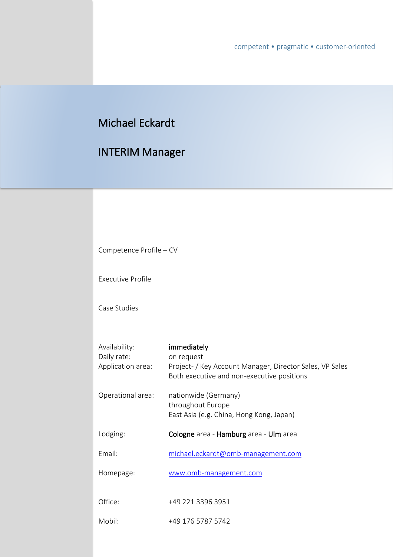# Michael Eckardt

# INTERIM Manager

| Competence Profile - CV          |                                                                                                                      |
|----------------------------------|----------------------------------------------------------------------------------------------------------------------|
| <b>Executive Profile</b>         |                                                                                                                      |
| Case Studies                     |                                                                                                                      |
| Availability:                    | immediately                                                                                                          |
| Daily rate:<br>Application area: | on request<br>Project- / Key Account Manager, Director Sales, VP Sales<br>Both executive and non-executive positions |
| Operational area:                | nationwide (Germany)<br>throughout Europe<br>East Asia (e.g. China, Hong Kong, Japan)                                |
| Lodging:                         | Cologne area - Hamburg area - Ulm area                                                                               |
| Email:                           | michael.eckardt@omb-management.com                                                                                   |
| Homepage:                        | www.omb-management.com                                                                                               |
| Office:                          | +49 221 3396 3951                                                                                                    |
| Mobil:                           | +49 176 5787 5742                                                                                                    |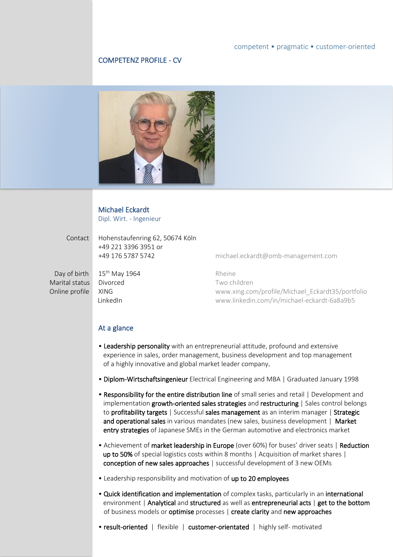### COMPETENZ PROFILE - CV



### Michael Eckardt

Dipl. Wirt. - Ingenieur

Day of birth 15<sup>th</sup> May 1964 Rheine

 Contact Hohenstaufenring 62, 50674 Köln +49 221 3396 3951 or +49 176 5787 5742 [michael.eckardt@omb-management.com](mailto:michael.eckardt@omb-management.com)

Marital status Divorced Two children Online profile XING XING **XING** [www.xing.com/profile/Michael\\_Eckardt35/portfolio](http://www.xing.com/profile/Michael_Eckardt35/portfolio) LinkedIn [www.linkedin.com/in/michael-eckardt-6a8a9b5](http://www.linkedin.com/in/michael-eckardt-6a8a9b5)

### At a glance

- Leadership personality with an entrepreneurial attitude, profound and extensive experience in sales, order management, business development and top management of a highly innovative and global market leader company.
- Diplom-Wirtschaftsingenieur Electrical Engineering and MBA | Graduated January 1998
- Responsibility for the entire distribution line of small series and retail | Development and implementation growth-oriented sales strategies and restructuring | Sales control belongs to profitability targets | Successful sales management as an interim manager | Strategic and operational sales in various mandates (new sales, business development | Market entry strategies of Japanese SMEs in the German automotive and electronics market
- Achievement of market leadership in Europe (over 60%) for buses' driver seats | Reduction up to 50% of special logistics costs within 8 months | Acquisition of market shares | conception of new sales approaches | successful development of 3 new OEMs
- Leadership responsibility and motivation of up to 20 employees
- Quick identification and implementation of complex tasks, particularly in an international environment | Analytical and structured as well as entrepreneurial acts | get to the bottom of business models or optimise processes | create clarity and new approaches

• result-oriented | flexible | customer-orientated | highly self- motivated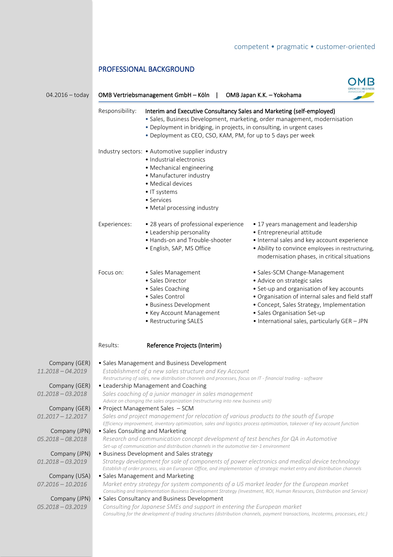# PROFESSIONAL BACKGROUND

| $04.2016 -$ today                    |                                  | OMB Vertriebsmanagement GmbH - Köln                                                                                                                                                                                   | OMB Japan K.K. - Yokohama                                                                                                                                                                                                                                                                  |
|--------------------------------------|----------------------------------|-----------------------------------------------------------------------------------------------------------------------------------------------------------------------------------------------------------------------|--------------------------------------------------------------------------------------------------------------------------------------------------------------------------------------------------------------------------------------------------------------------------------------------|
|                                      | Responsibility:                  | Interim and Executive Consultancy Sales and Marketing (self-employed)<br>• Deployment in bridging, in projects, in consulting, in urgent cases<br>• Deployment as CEO, CSO, KAM, PM, for up to 5 days per week        | · Sales, Business Development, marketing, order management, modernisation                                                                                                                                                                                                                  |
|                                      |                                  | Industry sectors: • Automotive supplier industry<br>· Industrial electronics<br>• Mechanical engineering<br>• Manufacturer industry<br>• Medical devices<br>• IT systems<br>• Services<br>• Metal processing industry |                                                                                                                                                                                                                                                                                            |
|                                      | Experiences:                     | • 28 years of professional experience<br>• Leadership personality<br>• Hands-on and Trouble-shooter<br>· English, SAP, MS Office                                                                                      | • 17 years management and leadership<br>· Entrepreneurial attitude<br>• Internal sales and key account experience<br>• Ability to convince employees in restructuring,<br>modernisation phases, in critical situations                                                                     |
|                                      | Focus on:                        | • Sales Management<br>· Sales Director<br>• Sales Coaching<br>• Sales Control<br>· Business Development<br>• Key Account Management<br>• Restructuring SALES                                                          | · Sales-SCM Change-Management<br>· Advice on strategic sales<br>• Set-up and organisation of key accounts<br>· Organisation of internal sales and field staff<br>• Concept, Sales Strategy, Implementation<br>· Sales Organisation Set-up<br>• International sales, particularly GER - JPN |
|                                      | Results:                         | Reference Projects (Interim)                                                                                                                                                                                          |                                                                                                                                                                                                                                                                                            |
| Company (GER)<br>11.2018 - 04.2019   |                                  | • Sales Management and Business Development<br>Establishment of a new sales structure and Key Account<br>Restructuring of sales, new distribution channels and processes, focus on IT - financial trading - software  |                                                                                                                                                                                                                                                                                            |
| Company (GER)<br>$01.2018 - 03.2018$ |                                  | • Leadership Management and Coaching<br>Sales coaching of a junior manager in sales management<br>Advice on changing the sales organization (restructuring into new business unit)                                    |                                                                                                                                                                                                                                                                                            |
| Company (GER)<br>$01.2017 - 12.2017$ |                                  | • Project Management Sales - SCM<br>Sales and project management for relocation of various products to the south of Europe                                                                                            | Efficiency improvement, inventory optimization, sales and logistics process optimization, takeover of key account function                                                                                                                                                                 |
| Company (JPN)<br>$05.2018 - 08.2018$ | • Sales Consulting and Marketing | Research and communication concept development of test benches for QA in Automotive<br>Set-up of communication and distribution channels in the automotive tier-1 environment                                         |                                                                                                                                                                                                                                                                                            |
| Company (JPN)<br>$01.2018 - 03.2019$ |                                  | • Business Development and Sales strategy                                                                                                                                                                             | Strategy development for sale of components of power electronics and medical device technology<br>Establish of order process, via an European Office, and implementation of strategic market entry and distribution channels                                                               |
| Company (USA)<br>$07.2016 - 10.2016$ |                                  | • Sales Management and Marketing<br>Market entry strategy for system components of a US market leader for the European market                                                                                         | Consulting and Implementation Business Development Strategy (Investment, ROI, Human Resources, Distribution and Service)                                                                                                                                                                   |
| Company (JPN)<br>$05.2018 - 03.2019$ |                                  | • Sales Consultancy and Business Development<br>Consulting for Japanese SMEs and support in entering the European market                                                                                              | Consulting for the development of trading structures (distribution channels, payment transactions, Incoterms, processes, etc.)                                                                                                                                                             |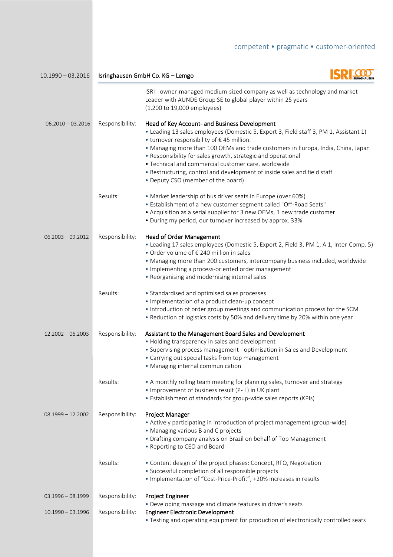**COM**  10.1990 – 03.2016 Isringhausen GmbH Co. KG – Lemgo ISRI - owner-managed medium-sized company as well as technology and market Leader with AUNDE Group SE to global player within 25 years (1,200 to 19,000 employees) 06.2010 - 03.2016 Responsibility: Head of Key Account- and Business Development • Leading 13 sales employees (Domestic 5, Export 3, Field staff 3, PM 1, Assistant 1) • turnover responsibility of € 45 million. • Managing more than 100 OEMs and trade customers in Europa, India, China, Japan • Responsibility for sales growth, strategic and operational • Technical and commercial customer care, worldwide • Restructuring, control and development of inside sales and field staff • Deputy CSO (member of the board) Results: • Market leadership of bus driver seats in Europe (over 60%) • Establishment of a new customer segment called "Off-Road Seats" • Acquisition as a serial supplier for 3 new OEMs, 1 new trade customer • During my period, our turnover increased by approx. 33% 06.2003 - 09.2012 Responsibility: Head of Order Management • Leading 17 sales employees (Domestic 5, Export 2, Field 3, PM 1, A 1, Inter-Comp. 5) • Order volume of € 240 million in sales • Managing more than 200 customers, intercompany business included, worldwide • Implementing a process-oriented order management • Reorganising and modernising internal sales Results: • Standardised and optimised sales processes • Implementation of a product clean-up concept • Introduction of order group meetings and communication process for the SCM • Reduction of logistics costs by 50% and delivery time by 20% within one year 12.2002 – 06.2003 Responsibility: Assistant to the Management Board Sales and Development • Holding transparency in sales and development • Supervising process management - optimisation in Sales and Development • Carrying out special tasks from top management • Managing internal communication Results: • A monthly rolling team meeting for planning sales, turnover and strategy • Improvement of business result (P- L) in UK plant • Establishment of standards for group-wide sales reports (KPIs) 08.1999 – 12.2002 Responsibility: Project Manager • Actively participating in introduction of project management (group-wide) • Managing various B and C projects • Drafting company analysis on Brazil on behalf of Top Management • Reporting to CEO and Board Results: • Content design of the project phases: Concept, RFQ, Negotiation • Successful completion of all responsible projects • Implementation of "Cost-Price-Profit", +20% increases in results 03.1996 – 08.1999 Responsibility: Project Engineer • Developing massage and climate features in driver's seats 10.1990 – 03.1996 Responsibility: Engineer Electronic Development

• Testing and operating equipment for production of electronically controlled seats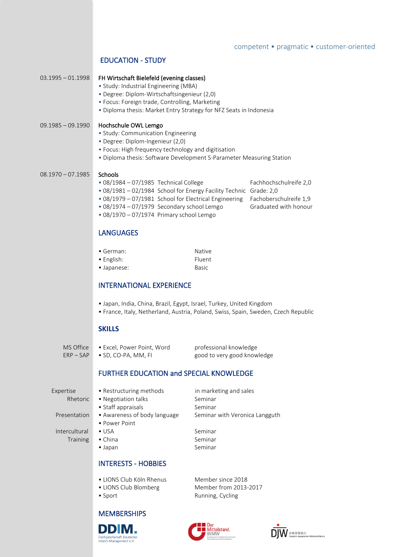## EDUCATION - STUDY

### 03.1995 – 01.1998 FH Wirtschaft Bielefeld (evening classes)

- Study: Industrial Engineering (MBA)
- Degree: Diplom-Wirtschaftsingenieur (2,0)
- Focus: Foreign trade, Controlling, Marketing
- Diploma thesis: Market Entry Strategy for NFZ Seats in Indonesia

### 09.1985 – 09.1990 Hochschule OWL Lemgo

- Study: Communication Engineering
- Degree: Diplom-Ingenieur (2,0)
- Focus: High frequency technology and digitisation
- Diploma thesis: Software Development S-Parameter Measuring Station

### 08.1970 - 07.1985 Schools

- 08/1984 07/1985 Technical College Fachhochschulreife 2,0
- 08/1981 02/1984 School for Energy Facility Technic Grade: 2,0
- 08/1979 07/1981 School for Electrical Engineering Fachoberschulreife 1,9
- $\cdot$  08/1974 07/1979 Secondary school Lemgo
- 08/1970 07/1974 Primary school Lemgo

### LANGUAGES

- German: Native • English: Fluent
- Japanese: Basic

## INTERNATIONAL EXPERIENCE

- Japan, India, China, Brazil, Egypt, Israel, Turkey, United Kingdom
- France, Italy, Netherland, Austria, Poland, Swiss, Spain, Sweden, Czech Republic

### **SKILLS**

ERP – SAP • SD, CO-PA, MM, FI good to very good knowledge

### FURTHER EDUCATION and SPECIAL KNOWLEDGE

Intercultural • USA Seminar Training • China Seminar

• Power Point

- INTERESTS HOBBIES
- LIONS Club Köln Rhenus Member since 2018
- LIONS Club Blomberg Member from 2013-2017
- Sport **Running, Cycling**

Expertise • Restructuring methods in marketing and sales Rhetoric • Negotiation talks Seminar • Staff appraisals Seminar Presentation • Awareness of body language Seminar with Veronica Langguth

• Japan Seminar

- 
- 
- 

DD IM.

Dachgesellschaft Deutsche Interim Management e.V

**MEMBERSHIPS** 





- 
- 

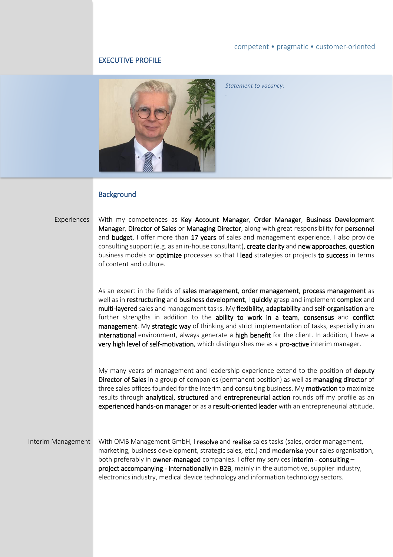### EXECUTIVE PROFILE



*Statement to vacancy:*

*.*

### **Background**

l

Experiences With my competences as Key Account Manager, Order Manager, Business Development Manager, Director of Sales or Managing Director, along with great responsibility for personnel and **budget**, I offer more than 17 years of sales and management experience. I also provide consulting support (e.g. as an in-house consultant), create clarity and new approaches, question business models or optimize processes so that I lead strategies or projects to success in terms of content and culture.

> As an expert in the fields of sales management, order management, process management as well as in restructuring and business development, I quickly grasp and implement complex and multi-layered sales and management tasks. My flexibility, adaptability and self-organisation are further strengths in addition to the ability to work in a team, consensus and conflict management. My strategic way of thinking and strict implementation of tasks, especially in an international environment, always generate a high benefit for the client. In addition, I have a very high level of self-motivation, which distinguishes me as a pro-active interim manager.

> My many years of management and leadership experience extend to the position of **deputy** Director of Sales in a group of companies (permanent position) as well as managing director of three sales offices founded for the interim and consulting business. My motivation to maximize results through analytical, structured and entrepreneurial action rounds off my profile as an experienced hands-on manager or as a result-oriented leader with an entrepreneurial attitude.

Interim Management With OMB Management GmbH, I resolve and realise sales tasks (sales, order management, marketing, business development, strategic sales, etc.) and **modernise** your sales organisation, both preferably in owner-managed companies. I offer my services interim - consulting project accompanying - internationally in B2B, mainly in the automotive, supplier industry, electronics industry, medical device technology and information technology sectors.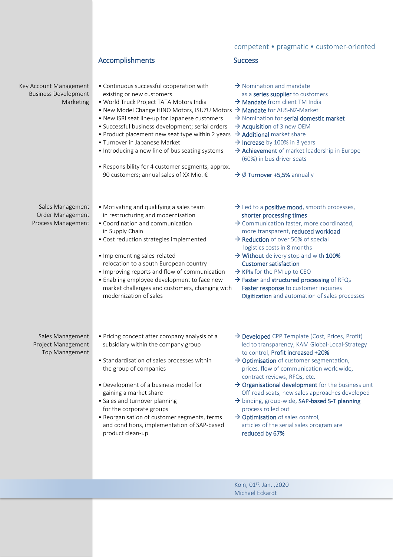# Accomplishments Success

Key Account Management Business Development Marketing

- Continuous successful cooperation with  $\rightarrow$  Nomination and mandate existing or new customers as a series supplier to customers as a series supplier to customers
- World Truck Project TATA Motors India  $\rightarrow$  Mandate from client TM India
- New Model Change HINO Motors, ISUZU Motors  $\rightarrow$  Mandate for AUS-NZ-Market
- New ISRI seat line-up for Japanese customers  $\rightarrow$  Nomination for serial domestic market <br>• Successful business development; serial orders  $\rightarrow$  Acquisition of 3 new OEM
- Successful business development; serial orders
- Product placement new seat type within 2 years  $\rightarrow$  Additional market share
- Turnover in Japanese Market  $\rightarrow$  Increase by 100% in 3 years
- Introducing a new line of bus seating systems  $\rightarrow$  Achievement of market leadership in Europe
- Responsibility for 4 customer segments, approx. 90 customers; annual sales of XX Mio. €  $\rightarrow \emptyset$  Turnover +5,5% annually

- 
- 
- 
- 
- 
- 
- 
- (60%) in bus driver seats
- 

logistics costs in 8 months

- Sales Management Order Management Process Management
- Motivating and qualifying a sales team  $\rightarrow$  Led to a **positive mood**, smooth processes, in restructuring and modernisation shorter processing times
- Coordination and communication  $\rightarrow$  Communication faster, more coordinated, in Supply Chain more transparent, reduced workload
- Cost reduction strategies implemented  $\rightarrow$  Reduction of over 50% of special
- Implementing sales-related  $\rightarrow$  Without delivery stop and with 100% relocation to a south European country **Customer satisfaction**
- Improving reports and flow of communication  $\rightarrow$  KPIs for the PM up to CEO
- Enabling employee development to face new  $\rightarrow$  Faster and structured processing of RFQs market challenges and customers, changing with Faster response to customer inquiries modernization of sales **Digitization** and automation of sales processes
- Sales Management Project Management Top Management
- 
- Standardisation of sales processes within  $\rightarrow$  Optimisation of customer segmentation,
- 
- for the corporate groups process rolled out
- Reorganisation of customer segments, terms  $\rightarrow$  Optimisation of sales control, and conditions, implementation of SAP-based articles of the serial sales program are product clean-up reduced by 67%
- Pricing concept after company analysis of a → Developed CPP Template (Cost, Prices, Profit) subsidiary within the company group led to transparency, KAM Global-Local-Strategy to control, Profit increased +20%
	- the group of companies **prices**, flow of communication worldwide, contract reviews, RFQs, etc.
- Development of a business model for  $\rightarrow$  Organisational development for the business unit gaining a market share states and the Off-road seats, new sales approaches developed
- Sales and turnover planning a state of the binding, group-wide, SAP-based S-T planning
	-

Köln, 01st. Jan. ,2020 Michael Eckardt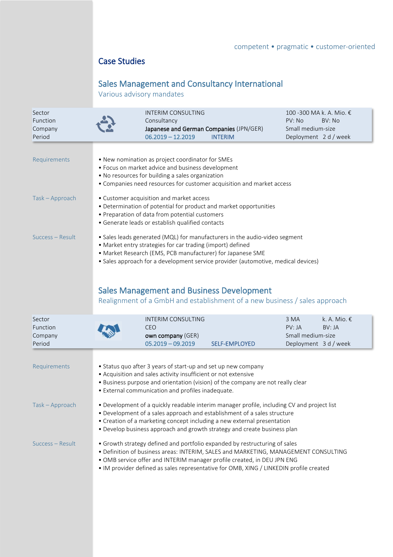# Case Studies

# Sales Management and Consultancy International

Various advisory mandates

| Sector<br>Function<br>Company<br>Period |                                                                                                                                                                                                                                                                                                                                                                                                                               | <b>INTERIM CONSULTING</b><br>Consultancy<br>Japanese and German Companies (JPN/GER)<br>$06.2019 - 12.2019$                                     | <b>INTERIM</b>                                                    | PV: No<br>Small medium-size<br>Deployment 2 d / week | 100 -300 MA k. A. Mio. €<br>BV: No |  |  |
|-----------------------------------------|-------------------------------------------------------------------------------------------------------------------------------------------------------------------------------------------------------------------------------------------------------------------------------------------------------------------------------------------------------------------------------------------------------------------------------|------------------------------------------------------------------------------------------------------------------------------------------------|-------------------------------------------------------------------|------------------------------------------------------|------------------------------------|--|--|
| Requirements                            | • New nomination as project coordinator for SMEs<br>• Focus on market advice and business development<br>. No resources for building a sales organization<br>• Companies need resources for customer acquisition and market access                                                                                                                                                                                            |                                                                                                                                                |                                                                   |                                                      |                                    |  |  |
| Task - Approach                         |                                                                                                                                                                                                                                                                                                                                                                                                                               | • Customer acquisition and market access<br>• Preparation of data from potential customers<br>· Generate leads or establish qualified contacts | • Determination of potential for product and market opportunities |                                                      |                                    |  |  |
| Success - Result                        | • Sales leads generated (MQL) for manufacturers in the audio-video segment<br>• Market entry strategies for car trading (import) defined<br>• Market Research (EMS, PCB manufacturer) for Japanese SME<br>• Sales approach for a development service provider (automotive, medical devices)<br><b>Sales Management and Business Development</b><br>Realignment of a GmbH and establishment of a new business / sales approach |                                                                                                                                                |                                                                   |                                                      |                                    |  |  |
| Sector                                  |                                                                                                                                                                                                                                                                                                                                                                                                                               | <b>INTERIM CONSULTING</b>                                                                                                                      |                                                                   | 3 MA                                                 | k. A. Mio. €                       |  |  |
| Function<br>Company<br>Period           |                                                                                                                                                                                                                                                                                                                                                                                                                               | <b>CEO</b><br>own company (GER)<br>$05.2019 - 09.2019$                                                                                         | <b>SELF-EMPLOYED</b>                                              | PV:IA<br>Small medium-size<br>Deployment 3 d / week  | BV: JA                             |  |  |
| Requirements                            | • Status quo after 3 years of start-up and set up new company<br>• Acquisition and sales activity insufficient or not extensive<br>• Business purpose and orientation (vision) of the company are not really clear<br>• External communication and profiles inadequate.                                                                                                                                                       |                                                                                                                                                |                                                                   |                                                      |                                    |  |  |
| Task - Approach                         | • Development of a quickly readable interim manager profile, including CV and project list<br>• Development of a sales approach and establishment of a sales structure<br>• Creation of a marketing concept including a new external presentation<br>• Develop business approach and growth strategy and create business plan                                                                                                 |                                                                                                                                                |                                                                   |                                                      |                                    |  |  |
| Success - Result                        | • Growth strategy defined and portfolio expanded by restructuring of sales<br>· Definition of business areas: INTERIM, SALES and MARKETING, MANAGEMENT CONSULTING<br>. OMB service offer and INTERIM manager profile created, in DEU JPN ENG<br>• IM provider defined as sales representative for OMB, XING / LINKEDIN profile created                                                                                        |                                                                                                                                                |                                                                   |                                                      |                                    |  |  |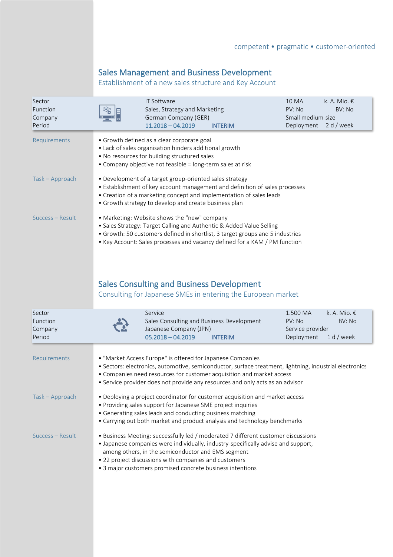# Sales Management and Business Development

Establishment of a new sales structure and Key Account

| Sector<br>Function<br>Company<br>Period |                                                                                                                                                                                                                                                                                                                                                    | IT Software<br>Sales, Strategy and Marketing<br>German Company (GER)<br>$11.2018 - 04.2019$<br><b>INTERIM</b>                                                                                                                                                                                                                   | k. A. Mio. $\epsilon$<br><b>10 MA</b><br>PV: No<br>BV: No<br>Small medium-size<br>Deployment<br>2 d / week |  |  |  |  |
|-----------------------------------------|----------------------------------------------------------------------------------------------------------------------------------------------------------------------------------------------------------------------------------------------------------------------------------------------------------------------------------------------------|---------------------------------------------------------------------------------------------------------------------------------------------------------------------------------------------------------------------------------------------------------------------------------------------------------------------------------|------------------------------------------------------------------------------------------------------------|--|--|--|--|
| Requirements                            |                                                                                                                                                                                                                                                                                                                                                    | • Growth defined as a clear corporate goal<br>• Lack of sales organisation hinders additional growth<br>. No resources for building structured sales<br>• Company objective not feasible = long-term sales at risk                                                                                                              |                                                                                                            |  |  |  |  |
| Task - Approach                         |                                                                                                                                                                                                                                                                                                                                                    | • Development of a target group-oriented sales strategy<br>• Establishment of key account management and definition of sales processes<br>• Creation of a marketing concept and implementation of sales leads<br>• Growth strategy to develop and create business plan                                                          |                                                                                                            |  |  |  |  |
| Success - Result                        |                                                                                                                                                                                                                                                                                                                                                    | • Marketing: Website shows the "new" company<br>• Sales Strategy: Target Calling and Authentic & Added Value Selling<br>• Growth: 50 customers defined in shortlist, 3 target groups and 5 industries<br>• Key Account: Sales processes and vacancy defined for a KAM / PM function                                             |                                                                                                            |  |  |  |  |
|                                         |                                                                                                                                                                                                                                                                                                                                                    | <b>Sales Consulting and Business Development</b><br>Consulting for Japanese SMEs in entering the European market                                                                                                                                                                                                                |                                                                                                            |  |  |  |  |
| Sector<br>Function<br>Company<br>Period |                                                                                                                                                                                                                                                                                                                                                    | Service<br>Sales Consulting and Business Development<br>Japanese Company (JPN)<br>$05.2018 - 04.2019$<br><b>INTERIM</b>                                                                                                                                                                                                         | 1.500 MA<br>k. A. Mio. €<br>PV: No<br>BV: No<br>Service provider<br>Deployment<br>$1 d$ / week             |  |  |  |  |
| Requirements                            |                                                                                                                                                                                                                                                                                                                                                    | • "Market Access Europe" is offered for Japanese Companies<br>· Sectors: electronics, automotive, semiconductor, surface treatment, lightning, industrial electronics<br>• Companies need resources for customer acquisition and market access<br>• Service provider does not provide any resources and only acts as an advisor |                                                                                                            |  |  |  |  |
| Task - Approach                         | • Deploying a project coordinator for customer acquisition and market access<br>• Providing sales support for Japanese SME project inquiries<br>• Generating sales leads and conducting business matching<br>• Carrying out both market and product analysis and technology benchmarks                                                             |                                                                                                                                                                                                                                                                                                                                 |                                                                                                            |  |  |  |  |
| Success – Result                        | · Business Meeting: successfully led / moderated 7 different customer discussions<br>• Japanese companies were individually, industry-specifically advise and support,<br>among others, in the semiconductor and EMS segment<br>• 22 project discussions with companies and customers<br>• 3 major customers promised concrete business intentions |                                                                                                                                                                                                                                                                                                                                 |                                                                                                            |  |  |  |  |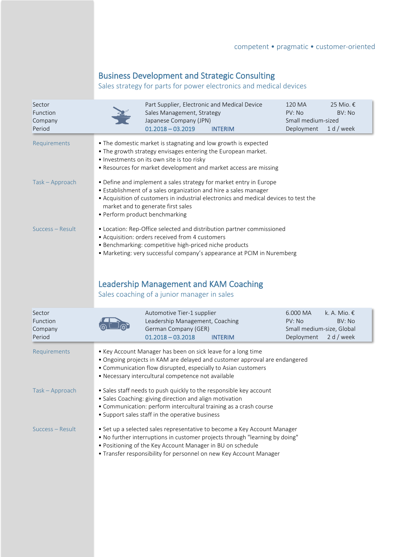# Business Development and Strategic Consulting

Sales strategy for parts for power electronics and medical devices

| Sector<br>Function<br>Company<br>Period |                                                                                                                                                                                                                                                                   | Part Supplier, Electronic and Medical Device<br>Sales Management, Strategy<br>Japanese Company (JPN)<br>$01.2018 - 03.2019$                                                                                                                                                                                   | <b>INTERIM</b>                                                                                                                                                                                                                | 120 MA<br>PV: No<br>Small medium-sized<br>Deployment          | 25 Mio. €<br>BV: No<br>1 d / week    |  |  |
|-----------------------------------------|-------------------------------------------------------------------------------------------------------------------------------------------------------------------------------------------------------------------------------------------------------------------|---------------------------------------------------------------------------------------------------------------------------------------------------------------------------------------------------------------------------------------------------------------------------------------------------------------|-------------------------------------------------------------------------------------------------------------------------------------------------------------------------------------------------------------------------------|---------------------------------------------------------------|--------------------------------------|--|--|
| Requirements                            | . The domestic market is stagnating and low growth is expected<br>. The growth strategy envisages entering the European market.<br>· Investments on its own site is too risky<br>• Resources for market development and market access are missing                 |                                                                                                                                                                                                                                                                                                               |                                                                                                                                                                                                                               |                                                               |                                      |  |  |
| Task - Approach                         |                                                                                                                                                                                                                                                                   | • Define and implement a sales strategy for market entry in Europe<br>• Establishment of a sales organization and hire a sales manager<br>• Acquisition of customers in industrial electronics and medical devices to test the<br>market and to generate first sales<br>• Perform product benchmarking        |                                                                                                                                                                                                                               |                                                               |                                      |  |  |
| Success – Result                        | Sales coaching of a junior manager in sales                                                                                                                                                                                                                       | • Location: Rep-Office selected and distribution partner commissioned<br>• Acquisition: orders received from 4 customers<br>· Benchmarking: competitive high-priced niche products<br>• Marketing: very successful company's appearance at PCIM in Nuremberg<br><b>Leadership Management and KAM Coaching</b> |                                                                                                                                                                                                                               |                                                               |                                      |  |  |
|                                         |                                                                                                                                                                                                                                                                   |                                                                                                                                                                                                                                                                                                               |                                                                                                                                                                                                                               |                                                               |                                      |  |  |
| Sector<br>Function<br>Company<br>Period |                                                                                                                                                                                                                                                                   | Automotive Tier-1 supplier<br>Leadership Management, Coaching<br>German Company (GER)<br>$01.2018 - 03.2018$                                                                                                                                                                                                  | <b>INTERIM</b>                                                                                                                                                                                                                | 6.000 MA<br>PV: No<br>Small medium-size, Global<br>Deployment | k. A. Mio. €<br>BV: No<br>2 d / week |  |  |
| Requirements                            | • Key Account Manager has been on sick leave for a long time<br>• Ongoing projects in KAM are delayed and customer approval are endangered<br>• Communication flow disrupted, especially to Asian customers<br>• Necessary intercultural competence not available |                                                                                                                                                                                                                                                                                                               |                                                                                                                                                                                                                               |                                                               |                                      |  |  |
| Task - Approach                         |                                                                                                                                                                                                                                                                   | • Sales Coaching: giving direction and align motivation<br>• Support sales staff in the operative business                                                                                                                                                                                                    | • Sales staff needs to push quickly to the responsible key account<br>• Communication: perform intercultural training as a crash course                                                                                       |                                                               |                                      |  |  |
| Success - Result                        |                                                                                                                                                                                                                                                                   | . Positioning of the Key Account Manager in BU on schedule                                                                                                                                                                                                                                                    | • Set up a selected sales representative to become a Key Account Manager<br>• No further interruptions in customer projects through "learning by doing"<br>• Transfer responsibility for personnel on new Key Account Manager |                                                               |                                      |  |  |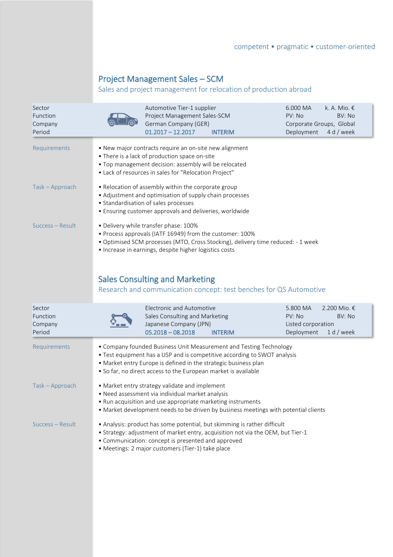# Project Management Sales – SCM

# Sales and project management for relocation of production abroad

| Sector<br>Function<br>Company<br>Period |                                                                                                                                                                                                                                                          | Automotive Tier-1 supplier<br>Project Management Sales-SCM<br>German Company (GER)<br>$01.2017 - 12.2017$                                                                                                                 | <b>INTERIM</b>                                                                                                                                 | 6.000 MA<br>PV: No<br>Corporate Groups, Global<br>Deployment | k. A. Mio. €<br>BV: No<br>4 d / week   |
|-----------------------------------------|----------------------------------------------------------------------------------------------------------------------------------------------------------------------------------------------------------------------------------------------------------|---------------------------------------------------------------------------------------------------------------------------------------------------------------------------------------------------------------------------|------------------------------------------------------------------------------------------------------------------------------------------------|--------------------------------------------------------------|----------------------------------------|
| Requirements                            |                                                                                                                                                                                                                                                          | . New major contracts require an on-site new alignment<br>• There is a lack of production space on-site<br>. Top management decision: assembly will be relocated<br>• Lack of resources in sales for "Relocation Project" |                                                                                                                                                |                                                              |                                        |
| Task - Approach                         |                                                                                                                                                                                                                                                          | • Relocation of assembly within the corporate group<br>• Adjustment and optimisation of supply chain processes<br>• Standardisation of sales processes<br>• Ensuring customer approvals and deliveries, worldwide         |                                                                                                                                                |                                                              |                                        |
| Success - Result                        |                                                                                                                                                                                                                                                          | · Delivery while transfer phase: 100%<br>• Process approvals (IATF 16949) from the customer: 100%<br>• Increase in earnings, despite higher logistics costs                                                               | · Optimised SCM processes (MTO, Cross Stocking), delivery time reduced: - 1 week                                                               |                                                              |                                        |
|                                         |                                                                                                                                                                                                                                                          | <b>Sales Consulting and Marketing</b>                                                                                                                                                                                     | Research and communication concept: test benches for QS Automotive                                                                             |                                                              |                                        |
| Sector<br>Function<br>Company<br>Period |                                                                                                                                                                                                                                                          | <b>Electronic and Automotive</b><br>Sales Consulting and Marketing<br>Japanese Company (JPN)<br>$05.2018 - 08.2018$                                                                                                       | <b>INTERIM</b>                                                                                                                                 | 5.800 MA<br>PV: No<br>Listed corporation<br>Deployment       | 2.200 Mio. €<br>BV: No<br>$1 d /$ week |
| Requirements                            |                                                                                                                                                                                                                                                          | • Market entry Europe is defined in the strategic business plan<br>• So far, no direct access to the European market is available                                                                                         | • Company founded Business Unit Measurement and Testing Technology<br>• Test equipment has a USP and is competitive according to SWOT analysis |                                                              |                                        |
| Task - Approach                         | • Market entry strategy validate and implement<br>• Need assessment via individual market analysis<br>• Run acquisition and use appropriate marketing instruments<br>• Market development needs to be driven by business meetings with potential clients |                                                                                                                                                                                                                           |                                                                                                                                                |                                                              |                                        |
| Success - Result                        | • Analysis: product has some potential, but skimming is rather difficult<br>• Strategy: adjustment of market entry, acquisition not via the OEM, but Tier-1<br>• Communication: concept is presented and approved                                        |                                                                                                                                                                                                                           |                                                                                                                                                |                                                              |                                        |

• Meetings: 2 major customers (Tier-1) take place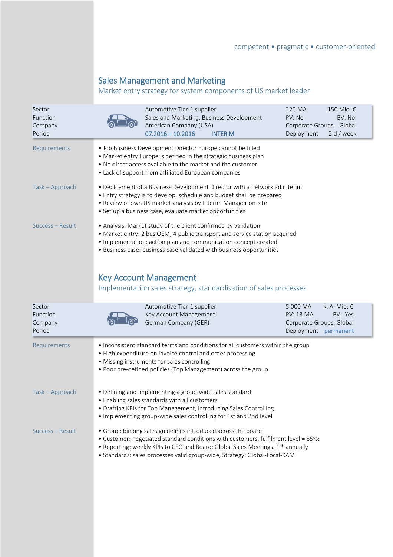# Sales Management and Marketing

# Market entry strategy for system components of US market leader

| Sector<br>Function<br>Company<br>Period | Automotive Tier-1 supplier<br>Sales and Marketing, Business Development<br>American Company (USA)<br>$07.2016 - 10.2016$<br><b>INTERIM</b>                                                                                                                                                                         | 220 MA<br>150 Mio. €<br>PV: No<br>BV: No<br>Corporate Groups, Global<br>Deployment<br>2 d / week                     |  |  |  |  |
|-----------------------------------------|--------------------------------------------------------------------------------------------------------------------------------------------------------------------------------------------------------------------------------------------------------------------------------------------------------------------|----------------------------------------------------------------------------------------------------------------------|--|--|--|--|
| Requirements                            | · Job Business Development Director Europe cannot be filled<br>• Market entry Europe is defined in the strategic business plan<br>. No direct access available to the market and the customer<br>• Lack of support from affiliated European companies                                                              |                                                                                                                      |  |  |  |  |
| Task - Approach                         | • Deployment of a Business Development Director with a network ad interim<br>• Entry strategy is to develop, schedule and budget shall be prepared<br>. Review of own US market analysis by Interim Manager on-site<br>· Set up a business case, evaluate market opportunities                                     |                                                                                                                      |  |  |  |  |
| Success – Result                        | • Analysis: Market study of the client confirmed by validation<br>• Market entry: 2 bus OEM, 4 public transport and service station acquired<br>· Implementation: action plan and communication concept created<br>· Business case: business case validated with business opportunities                            |                                                                                                                      |  |  |  |  |
|                                         | <b>Key Account Management</b><br>Implementation sales strategy, standardisation of sales processes                                                                                                                                                                                                                 |                                                                                                                      |  |  |  |  |
| Sector<br>Function<br>Company<br>Period | Automotive Tier-1 supplier<br>Key Account Management<br>German Company (GER)                                                                                                                                                                                                                                       | k. A. Mio. $\epsilon$<br>5.000 MA<br><b>PV: 13 MA</b><br>BV: Yes<br>Corporate Groups, Global<br>Deployment permanent |  |  |  |  |
| Requirements                            | . Inconsistent standard terms and conditions for all customers within the group<br>• High expenditure on invoice control and order processing<br>• Missing instruments for sales controlling<br>• Poor pre-defined policies (Top Management) across the group                                                      |                                                                                                                      |  |  |  |  |
| Task - Approach                         | • Defining and implementing a group-wide sales standard<br>• Enabling sales standards with all customers<br>• Drafting KPIs for Top Management, introducing Sales Controlling<br>. Implementing group-wide sales controlling for 1st and 2nd level                                                                 |                                                                                                                      |  |  |  |  |
| Success - Result                        | • Group: binding sales guidelines introduced across the board<br>• Customer: negotiated standard conditions with customers, fulfilment level = 85%:<br>• Reporting: weekly KPIs to CEO and Board; Global Sales Meetings. 1 * annually<br>· Standards: sales processes valid group-wide, Strategy: Global-Local-KAM |                                                                                                                      |  |  |  |  |